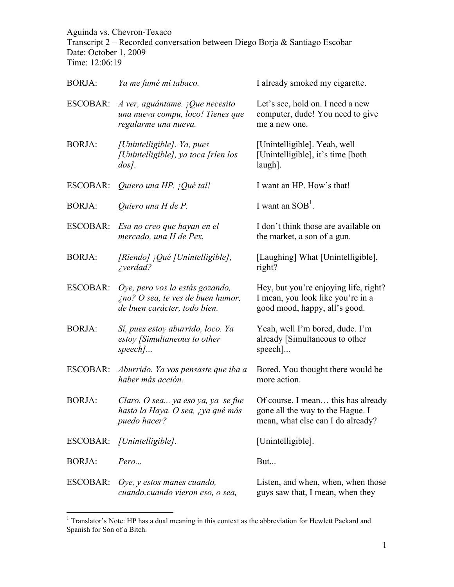Aguinda vs. Chevron-Texaco Transcript 2 – Recorded conversation between Diego Borja & Santiago Escobar Date: October 1, 2009 Time: 12:06:19

| <b>BORJA:</b>   | Ya me fumé mi tabaco.                                                                                       | I already smoked my cigarette.                                                                              |
|-----------------|-------------------------------------------------------------------------------------------------------------|-------------------------------------------------------------------------------------------------------------|
| ESCOBAR:        | A ver, aguántame. ¡Que necesito<br>una nueva compu, loco! Tienes que<br>regalarme una nueva.                | Let's see, hold on. I need a new<br>computer, dude! You need to give<br>me a new one.                       |
| <b>BORJA:</b>   | [Unintelligible]. Ya, pues<br>[Unintelligible], ya toca [ríen los<br>$\cos$ .                               | [Unintelligible]. Yeah, well<br>[Unintelligible], it's time [both]<br>laugh].                               |
| <b>ESCOBAR:</b> | Quiero una HP. ¡Qué tal!                                                                                    | I want an HP. How's that!                                                                                   |
| <b>BORJA:</b>   | Quiero una H de P.                                                                                          | I want an $SOB1$ .                                                                                          |
| <b>ESCOBAR:</b> | Esa no creo que hayan en el<br>mercado, una H de Pex.                                                       | I don't think those are available on<br>the market, a son of a gun.                                         |
| <b>BORJA:</b>   | [Riendo] ¡Qué [Unintelligible],<br>$i$ verdad?                                                              | [Laughing] What [Unintelligible],<br>right?                                                                 |
| <b>ESCOBAR:</b> | Oye, pero vos la estás gozando,<br>$\zeta$ no? O sea, te ves de buen humor,<br>de buen carácter, todo bien. | Hey, but you're enjoying life, right?<br>I mean, you look like you're in a<br>good mood, happy, all's good. |
| <b>BORJA:</b>   | Sí, pues estoy aburrido, loco. Ya<br>estoy [Simultaneous to other<br>$speed$                                | Yeah, well I'm bored, dude. I'm<br>already [Simultaneous to other<br>$specch$ ]                             |
| ESCOBAR:        | Aburrido. Ya vos pensaste que iba a<br>haber más acción.                                                    | Bored. You thought there would be<br>more action.                                                           |
| <b>BORJA:</b>   | Claro. O sea ya eso ya, ya se fue<br>hasta la Haya. O sea, ¿ya qué más<br>puedo hacer?                      | Of course. I mean this has already<br>gone all the way to the Hague. I<br>mean, what else can I do already? |
|                 | ESCOBAR: [Unintelligible].                                                                                  | [Unintelligible].                                                                                           |
| <b>BORJA:</b>   | Pero                                                                                                        | But                                                                                                         |
| <b>ESCOBAR:</b> | Oye, y estos manes cuando,<br>cuando, cuando vieron eso, o sea,                                             | Listen, and when, when, when those<br>guys saw that, I mean, when they                                      |

<sup>&</sup>lt;sup>1</sup> Translator's Note: HP has a dual meaning in this context as the abbreviation for Hewlett Packard and Spanish for Son of a Bitch.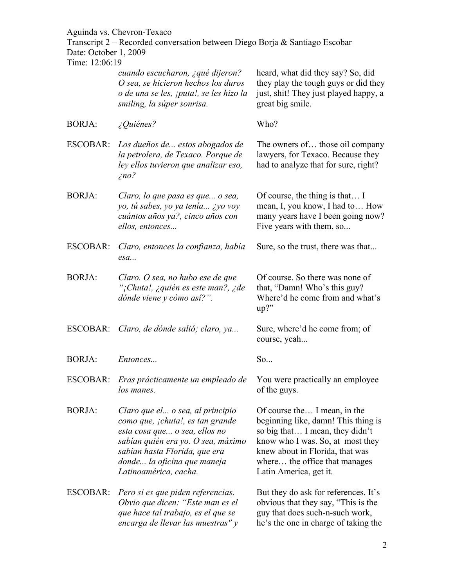Transcript 2 – Recorded conversation between Diego Borja & Santiago Escobar Date: October 1, 2009

| THE 12.00.19    |                                                                                                                                                                                                                                      |                                                                                                                                                                                                                                          |
|-----------------|--------------------------------------------------------------------------------------------------------------------------------------------------------------------------------------------------------------------------------------|------------------------------------------------------------------------------------------------------------------------------------------------------------------------------------------------------------------------------------------|
|                 | cuando escucharon, ¿qué dijeron?<br>O sea, se hicieron hechos los duros<br>o de una se les, ¡puta!, se les hizo la<br>smiling, la súper sonrisa.                                                                                     | heard, what did they say? So, did<br>they play the tough guys or did they<br>just, shit! They just played happy, a<br>great big smile.                                                                                                   |
| <b>BORJA:</b>   | $\angle$ Quiénes?                                                                                                                                                                                                                    | Who?                                                                                                                                                                                                                                     |
| ESCOBAR:        | Los dueños de estos abogados de<br>la petrolera, de Texaco. Porque de<br>ley ellos tuvieron que analizar eso,<br>$\zeta$ no?                                                                                                         | The owners of those oil company<br>lawyers, for Texaco. Because they<br>had to analyze that for sure, right?                                                                                                                             |
| <b>BORJA:</b>   | Claro, lo que pasa es que o sea,<br>yo, tú sabes, yo ya tenía ¿yo voy<br>cuántos años ya?, cinco años con<br>ellos, entonces                                                                                                         | Of course, the thing is that I<br>mean, I, you know, I had to How<br>many years have I been going now?<br>Five years with them, so                                                                                                       |
| <b>ESCOBAR:</b> | Claro, entonces la confianza, había<br>esa                                                                                                                                                                                           | Sure, so the trust, there was that                                                                                                                                                                                                       |
| <b>BORJA:</b>   | Claro. O sea, no hubo ese de que<br>"¡Chuta!, ¿quién es este man?, ¿de<br>dónde viene y cómo así?".                                                                                                                                  | Of course. So there was none of<br>that, "Damn! Who's this guy?<br>Where'd he come from and what's<br>$up?$ "                                                                                                                            |
|                 | ESCOBAR: Claro, de dónde salió; claro, ya                                                                                                                                                                                            | Sure, where'd he come from; of<br>course, yeah                                                                                                                                                                                           |
| <b>BORJA:</b>   | Entonces                                                                                                                                                                                                                             | So                                                                                                                                                                                                                                       |
| ESCOBAR:        | Eras prácticamente un empleado de<br>los manes.                                                                                                                                                                                      | You were practically an employee<br>of the guys.                                                                                                                                                                                         |
| <b>BORJA:</b>   | Claro que el o sea, al principio<br>como que, ¡chuta!, es tan grande<br>esta cosa que o sea, ellos no<br>sabían quién era yo. O sea, máximo<br>sabían hasta Florida, que era<br>donde la oficina que maneja<br>Latinoamérica, cacha. | Of course the I mean, in the<br>beginning like, damn! This thing is<br>so big that I mean, they didn't<br>know who I was. So, at most they<br>knew about in Florida, that was<br>where the office that manages<br>Latin America, get it. |
| ESCOBAR:        | Pero si es que piden referencias.<br>Obvio que dicen: "Este man es el<br>que hace tal trabajo, es el que se<br>encarga de llevar las muestras" y                                                                                     | But they do ask for references. It's<br>obvious that they say, "This is the<br>guy that does such-n-such work,<br>he's the one in charge of taking the                                                                                   |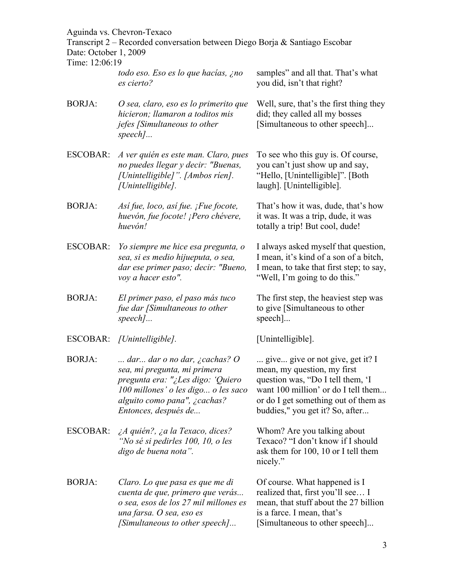Transcript 2 – Recorded conversation between Diego Borja & Santiago Escobar Date: October 1, 2009

| Time: 12:06:19  |                                                                                                                                                                                                         |                                                                                                                                                                                                                         |
|-----------------|---------------------------------------------------------------------------------------------------------------------------------------------------------------------------------------------------------|-------------------------------------------------------------------------------------------------------------------------------------------------------------------------------------------------------------------------|
|                 | todo eso. Eso es lo que hacías, ¿no<br>es cierto?                                                                                                                                                       | samples" and all that. That's what<br>you did, isn't that right?                                                                                                                                                        |
| <b>BORJA:</b>   | O sea, claro, eso es lo primerito que<br>hicieron; llamaron a toditos mis<br>jefes [Simultaneous to other<br>$speed$                                                                                    | Well, sure, that's the first thing they<br>did; they called all my bosses<br>[Simultaneous to other speech]                                                                                                             |
| <b>ESCOBAR:</b> | A ver quién es este man. Claro, pues<br>no puedes llegar y decir: "Buenas,<br>[Unintelligible]". [Ambos rien].<br>[Unintelligible].                                                                     | To see who this guy is. Of course,<br>you can't just show up and say,<br>"Hello, [Unintelligible]". [Both]<br>laugh]. [Unintelligible].                                                                                 |
| <b>BORJA:</b>   | Así fue, loco, así fue. ¡Fue focote,<br>huevón, fue focote! ¡Pero chévere,<br>huevón!                                                                                                                   | That's how it was, dude, that's how<br>it was. It was a trip, dude, it was<br>totally a trip! But cool, dude!                                                                                                           |
| ESCOBAR:        | Yo siempre me hice esa pregunta, o<br>sea, si es medio hijueputa, o sea,<br>dar ese primer paso; decir: "Bueno,<br>voy a hacer esto".                                                                   | I always asked myself that question,<br>I mean, it's kind of a son of a bitch,<br>I mean, to take that first step; to say,<br>"Well, I'm going to do this."                                                             |
| <b>BORJA:</b>   | El primer paso, el paso más tuco<br>fue dar [Simultaneous to other<br>$speed$                                                                                                                           | The first step, the heaviest step was<br>to give [Simultaneous to other<br>$\text{speed}.$                                                                                                                              |
|                 | ESCOBAR: [Unintelligible].                                                                                                                                                                              | [Unintelligible].                                                                                                                                                                                                       |
| <b>BORJA:</b>   | dar dar o no dar, $\zeta$ cachas? O<br>sea, mi pregunta, mi primera<br>pregunta era: "¿Les digo: 'Quiero<br>100 millones' o les digo o les saco<br>alguito como pana", ¿cachas?<br>Entonces, después de | give give or not give, get it? I<br>mean, my question, my first<br>question was, "Do I tell them, 'I<br>want 100 million' or do I tell them.<br>or do I get something out of them as<br>buddies," you get it? So, after |
| ESCOBAR:        | ¿A quién?, ¿a la Texaco, dices?<br>"No sé si pedirles 100, 10, o les<br>digo de buena nota".                                                                                                            | Whom? Are you talking about<br>Texaco? "I don't know if I should<br>ask them for 100, 10 or I tell them<br>nicely."                                                                                                     |
| <b>BORJA:</b>   | Claro. Lo que pasa es que me di<br>cuenta de que, primero que verás<br>o sea, esos de los 27 mil millones es<br>una farsa. O sea, eso es<br>[Simultaneous to other speech]                              | Of course. What happened is I<br>realized that, first you'll see I<br>mean, that stuff about the 27 billion<br>is a farce. I mean, that's<br>[Simultaneous to other speech]                                             |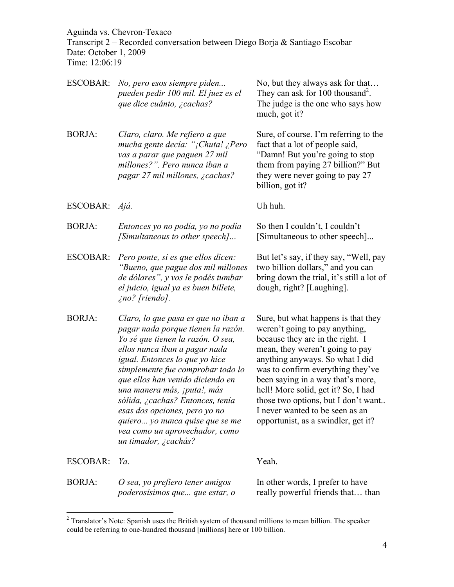Transcript 2 – Recorded conversation between Diego Borja & Santiago Escobar Date: October 1, 2009 Time: 12:06:19

| <b>ESCOBAR:</b> | No, pero esos siempre piden<br>pueden pedir 100 mil. El juez es el<br>que dice cuánto, ¿cachas?                                                                                                                                                                                                                                                                                                                                                             | No, but they always ask for that<br>They can ask for 100 thousand <sup>2</sup> .<br>The judge is the one who says how<br>much, got it?                                                                                                                                                                                                                                                                            |
|-----------------|-------------------------------------------------------------------------------------------------------------------------------------------------------------------------------------------------------------------------------------------------------------------------------------------------------------------------------------------------------------------------------------------------------------------------------------------------------------|-------------------------------------------------------------------------------------------------------------------------------------------------------------------------------------------------------------------------------------------------------------------------------------------------------------------------------------------------------------------------------------------------------------------|
| <b>BORJA:</b>   | Claro, claro. Me refiero a que<br>mucha gente decía: "¡Chuta! ¿Pero<br>vas a parar que paguen 27 mil<br>millones?". Pero nunca iban a<br>pagar 27 mil millones, ¿cachas?                                                                                                                                                                                                                                                                                    | Sure, of course. I'm referring to the<br>fact that a lot of people said,<br>"Damn! But you're going to stop<br>them from paying 27 billion?" But<br>they were never going to pay 27<br>billion, got it?                                                                                                                                                                                                           |
| ESCOBAR: Ajá.   |                                                                                                                                                                                                                                                                                                                                                                                                                                                             | Uh huh.                                                                                                                                                                                                                                                                                                                                                                                                           |
| <b>BORJA:</b>   | Entonces yo no podía, yo no podía<br>[Simultaneous to other speech]                                                                                                                                                                                                                                                                                                                                                                                         | So then I couldn't, I couldn't<br>[Simultaneous to other speech]                                                                                                                                                                                                                                                                                                                                                  |
| <b>ESCOBAR:</b> | Pero ponte, si es que ellos dicen:<br>"Bueno, que pague dos mil millones<br>de dólares", y vos le podés tumbar<br>el juicio, igual ya es buen billete,<br>$\zeta$ no? [riendo].                                                                                                                                                                                                                                                                             | But let's say, if they say, "Well, pay<br>two billion dollars," and you can<br>bring down the trial, it's still a lot of<br>dough, right? [Laughing].                                                                                                                                                                                                                                                             |
| <b>BORJA:</b>   | Claro, lo que pasa es que no iban a<br>pagar nada porque tienen la razón.<br>Yo sé que tienen la razón. O sea,<br>ellos nunca iban a pagar nada<br>igual. Entonces lo que yo hice<br>simplemente fue comprobar todo lo<br>que ellos han venido diciendo en<br>una manera más, ¡puta!, más<br>sólida, ¿cachas? Entonces, tenía<br>esas dos opciones, pero yo no<br>quiero yo nunca quise que se me<br>vea como un aprovechador, como<br>un timador, ¿cachás? | Sure, but what happens is that they<br>weren't going to pay anything,<br>because they are in the right. I<br>mean, they weren't going to pay<br>anything anyways. So what I did<br>was to confirm everything they've<br>been saying in a way that's more,<br>hell! More solid, get it? So, I had<br>those two options, but I don't want<br>I never wanted to be seen as an<br>opportunist, as a swindler, get it? |
| <b>ESCOBAR:</b> | Ya.                                                                                                                                                                                                                                                                                                                                                                                                                                                         | Yeah.                                                                                                                                                                                                                                                                                                                                                                                                             |
|                 |                                                                                                                                                                                                                                                                                                                                                                                                                                                             |                                                                                                                                                                                                                                                                                                                                                                                                                   |

BORJA: *O sea, yo prefiero tener amigos poderosísimos que... que estar, o* 

In other words, I prefer to have really powerful friends that… than

<sup>&</sup>lt;sup>2</sup> Translator's Note: Spanish uses the British system of thousand millions to mean billion. The speaker could be referring to one-hundred thousand [millions] here or 100 billion.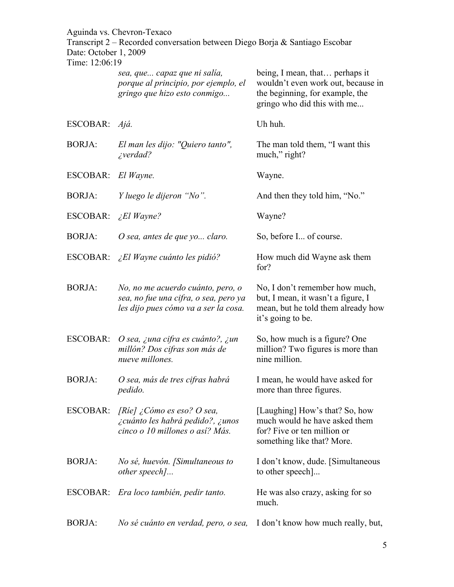Transcript 2 – Recorded conversation between Diego Borja & Santiago Escobar Date: October 1, 2009

| Time: 12:06:19  |                                                                                                                    |                                                                                                                                        |
|-----------------|--------------------------------------------------------------------------------------------------------------------|----------------------------------------------------------------------------------------------------------------------------------------|
|                 | sea, que capaz que ni salía,<br>porque al principio, por ejemplo, el<br>gringo que hizo esto conmigo               | being, I mean, that perhaps it<br>wouldn't even work out, because in<br>the beginning, for example, the<br>gringo who did this with me |
| ESCOBAR: Ajá.   |                                                                                                                    | Uh huh.                                                                                                                                |
| <b>BORJA:</b>   | El man les dijo: "Quiero tanto",<br><i>i</i> verdad?                                                               | The man told them, "I want this<br>much," right?                                                                                       |
| <b>ESCOBAR:</b> | El Wayne.                                                                                                          | Wayne.                                                                                                                                 |
| <b>BORJA:</b>   | Y luego le dijeron "No".                                                                                           | And then they told him, "No."                                                                                                          |
| ESCOBAR:        | <i>El Wayne?</i>                                                                                                   | Wayne?                                                                                                                                 |
| <b>BORJA:</b>   | O sea, antes de que yo claro.                                                                                      | So, before I of course.                                                                                                                |
|                 | ESCOBAR: ¿El Wayne cuánto les pidió?                                                                               | How much did Wayne ask them<br>for?                                                                                                    |
| <b>BORJA:</b>   | No, no me acuerdo cuánto, pero, o<br>sea, no fue una cifra, o sea, pero ya<br>les dijo pues cómo va a ser la cosa. | No, I don't remember how much,<br>but, I mean, it wasn't a figure, I<br>mean, but he told them already how<br>it's going to be.        |
| <b>ESCOBAR:</b> | O sea, ¿una cifra es cuánto?, ¿un<br>millón? Dos cifras son más de<br>nueve millones.                              | So, how much is a figure? One<br>million? Two figures is more than<br>nine million.                                                    |
| <b>BORJA:</b>   | O sea, más de tres cifras habrá<br>pedido.                                                                         | I mean, he would have asked for<br>more than three figures.                                                                            |
| ESCOBAR:        | [Rie] ¿Cómo es eso? O sea,<br><i>i</i> cuánto les habrá pedido?, ¿unos<br>cinco o 10 millones o así? Más.          | [Laughing] How's that? So, how<br>much would he have asked them<br>for? Five or ten million or<br>something like that? More.           |
| <b>BORJA:</b>   | No sé, huevón. [Simultaneous to<br>other speech]                                                                   | I don't know, dude. [Simultaneous]<br>to other speech]                                                                                 |
|                 | ESCOBAR: Era loco también, pedir tanto.                                                                            | He was also crazy, asking for so<br>much.                                                                                              |
| <b>BORJA:</b>   | No sé cuánto en verdad, pero, o sea,                                                                               | I don't know how much really, but,                                                                                                     |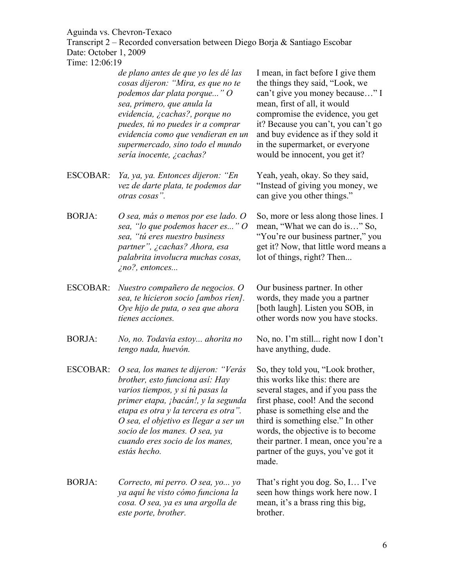Transcript 2 – Recorded conversation between Diego Borja & Santiago Escobar Date: October 1, 2009

Time: 12:06:19

*de plano antes de que yo les dé las cosas dijeron: "Mira, es que no te podemos dar plata porque..." O sea, primero, que anula la evidencia, ¿cachas?, porque no puedes, tú no puedes ir a comprar evidencia como que vendieran en un supermercado, sino todo el mundo sería inocente, ¿cachas?* I mean, in fact before I give them the things they said, "Look, we can't give you money because…" I mean, first of all, it would compromise the evidence, you get it? Because you can't, you can't go and buy evidence as if they sold it in the supermarket, or everyone would be innocent, you get it? ESCOBAR: *Ya, ya, ya. Entonces dijeron: "En vez de darte plata, te podemos dar otras cosas".* Yeah, yeah, okay. So they said, "Instead of giving you money, we can give you other things." BORJA: *O sea, más o menos por ese lado. O sea, "lo que podemos hacer es..." O*  So, more or less along those lines. I mean, "What we can do is…" So,

- *sea, "tú eres nuestro business partner", ¿cachas? Ahora, esa palabrita involucra muchas cosas, ¿no?, entonces...*
- ESCOBAR: *Nuestro compañero de negocios. O sea, te hicieron socio [ambos ríen]. Oye hijo de puta, o sea que ahora tienes acciones.*
- BORJA: *No, no. Todavía estoy... ahorita no tengo nada, huevón.*
- ESCOBAR: *O sea, los manes te dijeron: "Verás brother, esto funciona así: Hay varios tiempos, y si tú pasas la primer etapa, ¡bacán!, y la segunda etapa es otra y la tercera es otra". O sea, el objetivo es llegar a ser un socio de los manes. O sea, ya cuando eres socio de los manes, estás hecho.*
- BORJA: *Correcto, mi perro. O sea, yo... yo ya aquí he visto cómo funciona la cosa. O sea, ya es una argolla de este porte, brother.*

"You're our business partner," you get it? Now, that little word means a lot of things, right? Then...

Our business partner. In other words, they made you a partner [both laugh]. Listen you SOB, in other words now you have stocks.

No, no. I'm still... right now I don't have anything, dude.

So, they told you, "Look brother, this works like this: there are several stages, and if you pass the first phase, cool! And the second phase is something else and the third is something else." In other words, the objective is to become their partner. I mean, once you're a partner of the guys, you've got it made.

That's right you dog. So, I… I've seen how things work here now. I mean, it's a brass ring this big, brother.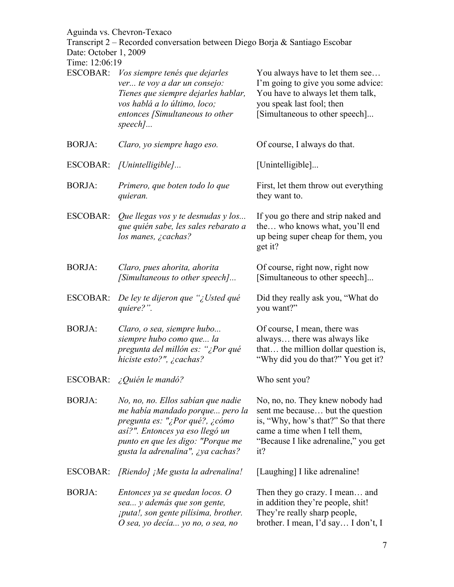Transcript 2 – Recorded conversation between Diego Borja & Santiago Escobar

Date: October 1, 2009

| THE 12.00.19    |                                                                                                                                                                                                                      |                                                                                                                                                                                              |
|-----------------|----------------------------------------------------------------------------------------------------------------------------------------------------------------------------------------------------------------------|----------------------------------------------------------------------------------------------------------------------------------------------------------------------------------------------|
| <b>ESCOBAR:</b> | Vos siempre tenés que dejarles<br>ver te voy a dar un consejo:<br>Tienes que siempre dejarles hablar,<br>vos hablá a lo último, loco;<br>entonces [Simultaneous to other<br>$speed$                                  | You always have to let them see<br>I'm going to give you some advice:<br>You have to always let them talk,<br>you speak last fool; then<br>[Simultaneous to other speech]                    |
| <b>BORJA:</b>   | Claro, yo siempre hago eso.                                                                                                                                                                                          | Of course, I always do that.                                                                                                                                                                 |
|                 | ESCOBAR: [Unintelligible]                                                                                                                                                                                            | [Unintelligible]                                                                                                                                                                             |
| <b>BORJA:</b>   | Primero, que boten todo lo que<br>quieran.                                                                                                                                                                           | First, let them throw out everything<br>they want to.                                                                                                                                        |
| <b>ESCOBAR:</b> | Que llegas vos y te desnudas y los<br>que quién sabe, les sales rebarato a<br>los manes, ¿cachas?                                                                                                                    | If you go there and strip naked and<br>the who knows what, you'll end<br>up being super cheap for them, you<br>get it?                                                                       |
| <b>BORJA:</b>   | Claro, pues ahorita, ahorita<br>[Simultaneous to other speech]                                                                                                                                                       | Of course, right now, right now<br>[Simultaneous to other speech]                                                                                                                            |
| ESCOBAR:        | De ley te dijeron que "¿Usted qué<br>quiere?".                                                                                                                                                                       | Did they really ask you, "What do<br>you want?"                                                                                                                                              |
| <b>BORJA:</b>   | Claro, o sea, siempre hubo<br>siempre hubo como que la<br>pregunta del millón es: "¿Por qué<br>hiciste esto?", ¿cachas?                                                                                              | Of course, I mean, there was<br>always there was always like<br>that the million dollar question is,<br>"Why did you do that?" You get it?                                                   |
| ESCOBAR:        | $\angle$ Quién le mandó?                                                                                                                                                                                             | Who sent you?                                                                                                                                                                                |
| <b>BORJA:</b>   | No, no, no. Ellos sabían que nadie<br>me había mandado porque pero la<br>pregunta es: "¿Por qué?, ¿cómo<br>así?". Entonces ya eso llegó un<br>punto en que les digo: "Porque me<br>gusta la adrenalina", ¿ya cachas? | No, no, no. They knew nobody had<br>sent me because but the question<br>is, "Why, how's that?" So that there<br>came a time when I tell them,<br>"Because I like adrenaline," you get<br>it? |
| ESCOBAR:        | [Riendo] ¡Me gusta la adrenalina!                                                                                                                                                                                    | [Laughing] I like adrenaline!                                                                                                                                                                |
| <b>BORJA:</b>   | Entonces ya se quedan locos. O<br>sea y además que son gente,<br><i>iputa!, son gente pilísima, brother.</i><br>O sea, yo decía yo no, o sea, no                                                                     | Then they go crazy. I mean and<br>in addition they're people, shit!<br>They're really sharp people,<br>brother. I mean, I'd say I don't, I                                                   |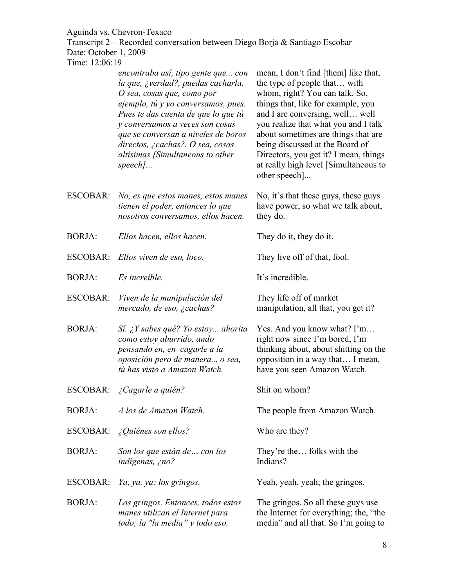Transcript 2 – Recorded conversation between Diego Borja & Santiago Escobar Date: October 1, 2009

| 1 ime: 12:06:19 |                                                                                                                                                                                                                                                                                                                                                   |                                                                                                                                                                                                                                                                                                                                                                                                      |
|-----------------|---------------------------------------------------------------------------------------------------------------------------------------------------------------------------------------------------------------------------------------------------------------------------------------------------------------------------------------------------|------------------------------------------------------------------------------------------------------------------------------------------------------------------------------------------------------------------------------------------------------------------------------------------------------------------------------------------------------------------------------------------------------|
|                 | encontraba así, tipo gente que con<br>la que, ¿verdad?, puedas cacharla.<br>O sea, cosas que, como por<br>ejemplo, tú y yo conversamos, pues.<br>Pues te das cuenta de que lo que tú<br>y conversamos a veces son cosas<br>que se conversan a niveles de boros<br>directos, ¿cachas?. O sea, cosas<br>altísimas [Simultaneous to other<br>speech] | mean, I don't find [them] like that,<br>the type of people that with<br>whom, right? You can talk. So,<br>things that, like for example, you<br>and I are conversing, well well<br>you realize that what you and I talk<br>about sometimes are things that are<br>being discussed at the Board of<br>Directors, you get it? I mean, things<br>at really high level [Simultaneous to<br>other speech] |
| ESCOBAR:        | No, es que estos manes, estos manes<br>tienen el poder, entonces lo que<br>nosotros conversamos, ellos hacen.                                                                                                                                                                                                                                     | No, it's that these guys, these guys<br>have power, so what we talk about,<br>they do.                                                                                                                                                                                                                                                                                                               |
| <b>BORJA:</b>   | Ellos hacen, ellos hacen.                                                                                                                                                                                                                                                                                                                         | They do it, they do it.                                                                                                                                                                                                                                                                                                                                                                              |
| ESCOBAR:        | Ellos viven de eso, loco.                                                                                                                                                                                                                                                                                                                         | They live off of that, fool.                                                                                                                                                                                                                                                                                                                                                                         |
| <b>BORJA:</b>   | Es increíble.                                                                                                                                                                                                                                                                                                                                     | It's incredible.                                                                                                                                                                                                                                                                                                                                                                                     |
| ESCOBAR:        | Viven de la manipulación del<br>mercado, de eso, ¿cachas?                                                                                                                                                                                                                                                                                         | They life off of market<br>manipulation, all that, you get it?                                                                                                                                                                                                                                                                                                                                       |
| <b>BORJA:</b>   | Sí. ¿Y sabes qué? Yo estoy ahorita<br>como estoy aburrido, ando<br>pensando en, en cagarle a la<br>oposición pero de manera o sea,<br>tú has visto a Amazon Watch.                                                                                                                                                                                | Yes. And you know what? I'm<br>right now since I'm bored, I'm<br>thinking about, about shitting on the<br>opposition in a way that I mean,<br>have you seen Amazon Watch.                                                                                                                                                                                                                            |
| ESCOBAR:        | ¿Cagarle a quién?                                                                                                                                                                                                                                                                                                                                 | Shit on whom?                                                                                                                                                                                                                                                                                                                                                                                        |
| <b>BORJA:</b>   | A los de Amazon Watch.                                                                                                                                                                                                                                                                                                                            | The people from Amazon Watch.                                                                                                                                                                                                                                                                                                                                                                        |
| ESCOBAR:        | $\angle$ Quiénes son ellos?                                                                                                                                                                                                                                                                                                                       | Who are they?                                                                                                                                                                                                                                                                                                                                                                                        |
| <b>BORJA:</b>   | Son los que están de  con los<br>indígenas, ¿no?                                                                                                                                                                                                                                                                                                  | They're the folks with the<br>Indians?                                                                                                                                                                                                                                                                                                                                                               |
| <b>ESCOBAR:</b> | Ya, ya, ya; los gringos.                                                                                                                                                                                                                                                                                                                          | Yeah, yeah, yeah; the gringos.                                                                                                                                                                                                                                                                                                                                                                       |
| <b>BORJA:</b>   | Los gringos. Entonces, todos estos<br>manes utilizan el Internet para<br>todo; la "la media" y todo eso.                                                                                                                                                                                                                                          | The gringos. So all these guys use<br>the Internet for everything; the, "the<br>media" and all that. So I'm going to                                                                                                                                                                                                                                                                                 |
|                 |                                                                                                                                                                                                                                                                                                                                                   |                                                                                                                                                                                                                                                                                                                                                                                                      |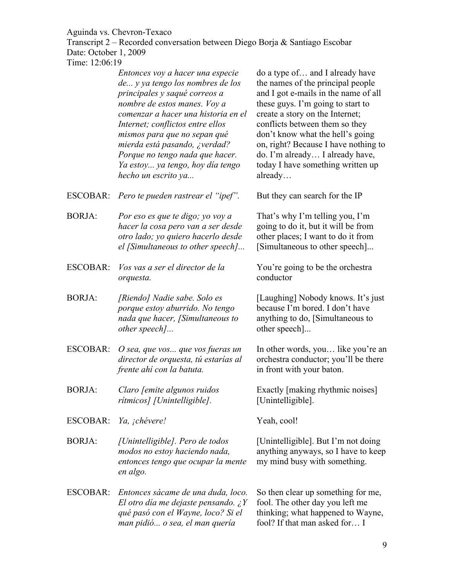Transcript 2 – Recorded conversation between Diego Borja & Santiago Escobar Date: October 1, 2009

| $1 \text{III}, 12.00.17$ |                                                                                                                                                                                                                                                                                                                                                                                 |                                                                                                                                                                                                                                                                                                                                                                                       |
|--------------------------|---------------------------------------------------------------------------------------------------------------------------------------------------------------------------------------------------------------------------------------------------------------------------------------------------------------------------------------------------------------------------------|---------------------------------------------------------------------------------------------------------------------------------------------------------------------------------------------------------------------------------------------------------------------------------------------------------------------------------------------------------------------------------------|
|                          | Entonces voy a hacer una especie<br>de y ya tengo los nombres de los<br>principales y saqué correos a<br>nombre de estos manes. Voy a<br>comenzar a hacer una historia en el<br>Internet; conflictos entre ellos<br>mismos para que no sepan qué<br>mierda está pasando, ¿verdad?<br>Porque no tengo nada que hacer.<br>Ya estoy ya tengo, hoy día tengo<br>hecho un escrito ya | do a type of and I already have<br>the names of the principal people<br>and I got e-mails in the name of all<br>these guys. I'm going to start to<br>create a story on the Internet;<br>conflicts between them so they<br>don't know what the hell's going<br>on, right? Because I have nothing to<br>do. I'm already I already have,<br>today I have something written up<br>already |
| ESCOBAR:                 | Pero te pueden rastrear el "ipef".                                                                                                                                                                                                                                                                                                                                              | But they can search for the IP                                                                                                                                                                                                                                                                                                                                                        |
| <b>BORJA:</b>            | Por eso es que te digo; yo voy a<br>hacer la cosa pero van a ser desde<br>otro lado; yo quiero hacerlo desde<br>el [Simultaneous to other speech]                                                                                                                                                                                                                               | That's why I'm telling you, I'm<br>going to do it, but it will be from<br>other places; I want to do it from<br>[Simultaneous to other speech]                                                                                                                                                                                                                                        |
| <b>ESCOBAR:</b>          | Vos vas a ser el director de la<br>orquesta.                                                                                                                                                                                                                                                                                                                                    | You're going to be the orchestra<br>conductor                                                                                                                                                                                                                                                                                                                                         |
| <b>BORJA:</b>            | [Riendo] Nadie sabe. Solo es<br>porque estoy aburrido. No tengo<br>nada que hacer, [Simultaneous to<br>other speech]                                                                                                                                                                                                                                                            | [Laughing] Nobody knows. It's just<br>because I'm bored. I don't have<br>anything to do, [Simultaneous to<br>other speech]                                                                                                                                                                                                                                                            |
| <b>ESCOBAR:</b>          | O sea, que vos que vos fueras un<br>director de orquesta, tú estarías al<br>frente ahí con la batuta.                                                                                                                                                                                                                                                                           | In other words, you like you're an<br>orchestra conductor; you'll be there<br>in front with your baton.                                                                                                                                                                                                                                                                               |
| BORJA:                   | Claro [emite algunos ruidos<br>rítmicos] [Unintelligible].                                                                                                                                                                                                                                                                                                                      | Exactly [making rhythmic noises]<br>[Unintelligible].                                                                                                                                                                                                                                                                                                                                 |
| ESCOBAR:                 | Ya, ¡chévere!                                                                                                                                                                                                                                                                                                                                                                   | Yeah, cool!                                                                                                                                                                                                                                                                                                                                                                           |
| <b>BORJA:</b>            | [Unintelligible]. Pero de todos<br>modos no estoy haciendo nada,<br>entonces tengo que ocupar la mente<br>en algo.                                                                                                                                                                                                                                                              | [Unintelligible]. But I'm not doing<br>anything anyways, so I have to keep<br>my mind busy with something.                                                                                                                                                                                                                                                                            |
| <b>ESCOBAR:</b>          | Entonces sácame de una duda, loco.<br>El otro día me dejaste pensando. ¿Y<br>qué pasó con el Wayne, loco? Si el<br>man pidió o sea, el man quería                                                                                                                                                                                                                               | So then clear up something for me,<br>fool. The other day you left me<br>thinking; what happened to Wayne,<br>fool? If that man asked for I                                                                                                                                                                                                                                           |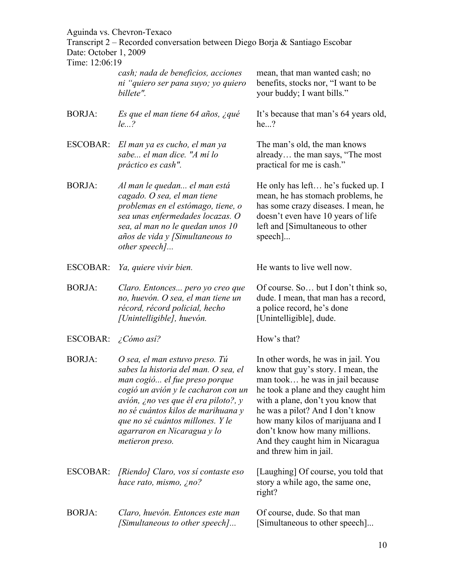Transcript 2 – Recorded conversation between Diego Borja & Santiago Escobar Date: October 1, 2009

| Time: 12:06:19  |                                                                                                                                                                                                                                                                                                                    |                                                                                                                                                                                                                                                                                                                                                                  |
|-----------------|--------------------------------------------------------------------------------------------------------------------------------------------------------------------------------------------------------------------------------------------------------------------------------------------------------------------|------------------------------------------------------------------------------------------------------------------------------------------------------------------------------------------------------------------------------------------------------------------------------------------------------------------------------------------------------------------|
|                 | cash; nada de beneficios, acciones<br>ni "quiero ser pana suyo; yo quiero<br>billete".                                                                                                                                                                                                                             | mean, that man wanted cash; no<br>benefits, stocks nor, "I want to be<br>your buddy; I want bills."                                                                                                                                                                                                                                                              |
| <b>BORJA:</b>   | Es que el man tiene 64 años, ¿qué<br>le?                                                                                                                                                                                                                                                                           | It's because that man's 64 years old,<br>he?                                                                                                                                                                                                                                                                                                                     |
| <b>ESCOBAR:</b> | El man ya es cucho, el man ya<br>sabe el man dice. "A mí lo<br>práctico es cash".                                                                                                                                                                                                                                  | The man's old, the man knows<br>already the man says, "The most<br>practical for me is cash."                                                                                                                                                                                                                                                                    |
| <b>BORJA:</b>   | Al man le quedan el man está<br>cagado. O sea, el man tiene<br>problemas en el estómago, tiene, o<br>sea unas enfermedades locazas. O<br>sea, al man no le quedan unos 10<br>$a\tilde{n}$ os de vida y [Simultaneous to<br>other speech]                                                                           | He only has left he's fucked up. I<br>mean, he has stomach problems, he<br>has some crazy diseases. I mean, he<br>doesn't even have 10 years of life<br>left and [Simultaneous to other<br>$\text{speed}.$                                                                                                                                                       |
| ESCOBAR:        | Ya, quiere vivir bien.                                                                                                                                                                                                                                                                                             | He wants to live well now.                                                                                                                                                                                                                                                                                                                                       |
| <b>BORJA:</b>   | Claro. Entonces pero yo creo que<br>no, huevón. O sea, el man tiene un<br>récord, récord policial, hecho<br>[Unintelligible], huevón.                                                                                                                                                                              | Of course. So but I don't think so,<br>dude. I mean, that man has a record,<br>a police record, he's done<br>[Unintelligible], dude.                                                                                                                                                                                                                             |
| ESCOBAR:        | ¿Cómo así?                                                                                                                                                                                                                                                                                                         | How's that?                                                                                                                                                                                                                                                                                                                                                      |
| <b>BORJA:</b>   | O sea, el man estuvo preso. Tú<br>sabes la historia del man. O sea, el<br>man cogió el fue preso porque<br>cogió un avión y le cacharon con un<br>avión, ¿no ves que él era piloto?, y<br>no sé cuántos kilos de marihuana y<br>que no sé cuántos millones. Y le<br>agarraron en Nicaragua y lo<br>metieron preso. | In other words, he was in jail. You<br>know that guy's story. I mean, the<br>man took he was in jail because<br>he took a plane and they caught him<br>with a plane, don't you know that<br>he was a pilot? And I don't know<br>how many kilos of marijuana and I<br>don't know how many millions.<br>And they caught him in Nicaragua<br>and threw him in jail. |
| ESCOBAR:        | [Riendo] Claro, vos sí contaste eso<br>hace rato, mismo, ¿no?                                                                                                                                                                                                                                                      | [Laughing] Of course, you told that<br>story a while ago, the same one,<br>right?                                                                                                                                                                                                                                                                                |
| <b>BORJA:</b>   | Claro, huevón. Entonces este man<br>[Simultaneous to other speech]                                                                                                                                                                                                                                                 | Of course, dude. So that man<br>[Simultaneous to other speech]                                                                                                                                                                                                                                                                                                   |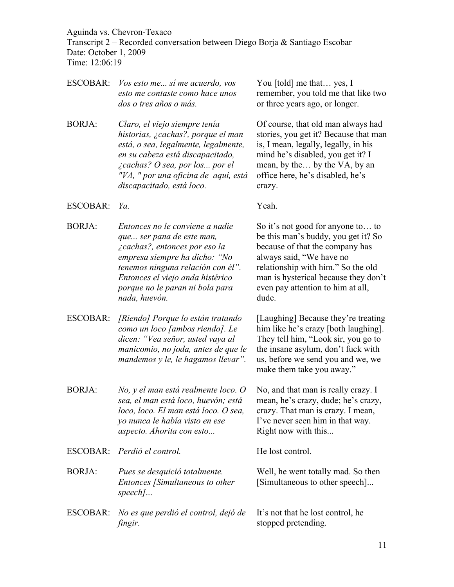ESCOBAR: *Vos esto me... sí me acuerdo, vos* 

*dos o tres años o más.*

*esto me contaste como hace unos* 

Transcript 2 – Recorded conversation between Diego Borja & Santiago Escobar Date: October 1, 2009

You [told] me that... yes, I

or three years ago, or longer.

remember, you told me that like two

Time: 12:06:19

BORJA: *Claro, el viejo siempre tenía historias, ¿cachas?, porque el man está, o sea, legalmente, legalmente, en su cabeza está discapacitado, ¿cachas? O sea, por los... por el "VA, " por una oficina de aquí, está discapacitado, está loco.* Of course, that old man always had stories, you get it? Because that man is, I mean, legally, legally, in his mind he's disabled, you get it? I mean, by the… by the VA, by an office here, he's disabled, he's crazy. ESCOBAR: *Ya.* Yeah. BORJA: *Entonces no le conviene a nadie que... ser pana de este man, ¿cachas?, entonces por eso la empresa siempre ha dicho: "No tenemos ninguna relación con él". Entonces el viejo anda histérico porque no le paran ni bola para nada, huevón.* So it's not good for anyone to… to be this man's buddy, you get it? So because of that the company has always said, "We have no relationship with him." So the old man is hysterical because they don't even pay attention to him at all, dude. ESCOBAR: *[Riendo] Porque lo están tratando como un loco [ambos riendo]. Le dicen: "Vea señor, usted vaya al manicomio, no joda, antes de que le mandemos y le, le hagamos llevar".* [Laughing] Because they're treating him like he's crazy [both laughing]. They tell him, "Look sir, you go to the insane asylum, don't fuck with us, before we send you and we, we make them take you away." BORJA: *No, y el man está realmente loco. O sea, el man está loco, huevón; está loco, loco. El man está loco. O sea, yo nunca le había visto en ese aspecto. Ahorita con esto...* No, and that man is really crazy. I mean, he's crazy, dude; he's crazy, crazy. That man is crazy. I mean, I've never seen him in that way. Right now with this... ESCOBAR: *Perdió el control.* He lost control. BORJA: *Pues se desquició totalmente. Entonces [Simultaneous to other speech]...* Well, he went totally mad. So then [Simultaneous to other speech]... ESCOBAR: *No es que perdió el control, dejó de fingir.* It's not that he lost control, he stopped pretending.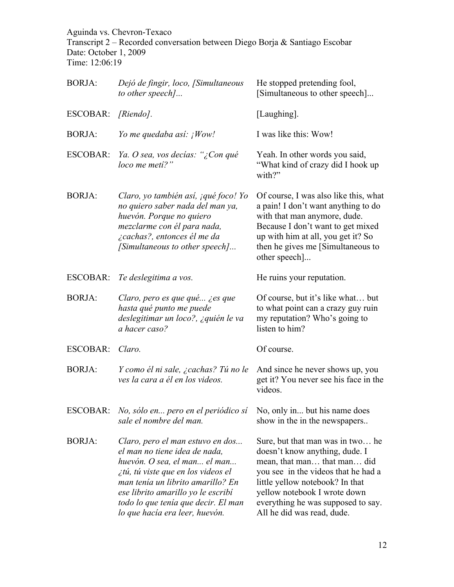Transcript 2 – Recorded conversation between Diego Borja & Santiago Escobar Date: October 1, 2009 Time: 12:06:19

| <b>BORJA:</b> | Dejó de fingir, loco, [Simultaneous<br>to other speech]                                                                                                                                                                                                                                     | He stopped pretending fool,<br>[Simultaneous to other speech]                                                                                                                                                                                                                   |
|---------------|---------------------------------------------------------------------------------------------------------------------------------------------------------------------------------------------------------------------------------------------------------------------------------------------|---------------------------------------------------------------------------------------------------------------------------------------------------------------------------------------------------------------------------------------------------------------------------------|
| ESCOBAR:      | [Riendo].                                                                                                                                                                                                                                                                                   | [Laughing].                                                                                                                                                                                                                                                                     |
| <b>BORJA:</b> | Yo me quedaba así: ¡Wow!                                                                                                                                                                                                                                                                    | I was like this: Wow!                                                                                                                                                                                                                                                           |
| ESCOBAR:      | Ya. O sea, vos decías: "¿Con qué<br>loco me metí?"                                                                                                                                                                                                                                          | Yeah. In other words you said,<br>"What kind of crazy did I hook up<br>with?"                                                                                                                                                                                                   |
| <b>BORJA:</b> | Claro, yo también así, jqué foco! Yo<br>no quiero saber nada del man ya,<br>huevón. Porque no quiero<br>mezclarme con él para nada,<br>¿cachas?, entonces él me da<br>[Simultaneous to other speech]                                                                                        | Of course, I was also like this, what<br>a pain! I don't want anything to do<br>with that man anymore, dude.<br>Because I don't want to get mixed<br>up with him at all, you get it? So<br>then he gives me [Simultaneous to<br>other speech]                                   |
| ESCOBAR:      | Te deslegitima a vos.                                                                                                                                                                                                                                                                       | He ruins your reputation.                                                                                                                                                                                                                                                       |
| <b>BORJA:</b> | Claro, pero es que qué ¿es que<br>hasta qué punto me puede<br>deslegitimar un loco?, ¿quién le va<br>a hacer caso?                                                                                                                                                                          | Of course, but it's like what but<br>to what point can a crazy guy ruin<br>my reputation? Who's going to<br>listen to him?                                                                                                                                                      |
| ESCOBAR:      | Claro.                                                                                                                                                                                                                                                                                      | Of course.                                                                                                                                                                                                                                                                      |
| <b>BORJA:</b> | Y como él ni sale, ¿cachas? Tú no le<br>ves la cara a él en los videos.                                                                                                                                                                                                                     | And since he never shows up, you<br>get it? You never see his face in the<br>videos.                                                                                                                                                                                            |
|               | ESCOBAR: No, sólo en pero en el periódico sí No, only in but his name does<br>sale el nombre del man.                                                                                                                                                                                       | show in the in the newspapers                                                                                                                                                                                                                                                   |
| <b>BORJA:</b> | Claro, pero el man estuvo en dos<br>el man no tiene idea de nada,<br>huevón. O sea, el man el man<br>itú, tú viste que en los videos el<br>man tenía un librito amarillo? En<br>ese librito amarillo yo le escribí<br>todo lo que tenía que decir. El man<br>lo que hacía era leer, huevón. | Sure, but that man was in two he<br>doesn't know anything, dude. I<br>mean, that man that man did<br>you see in the videos that he had a<br>little yellow notebook? In that<br>yellow notebook I wrote down<br>everything he was supposed to say.<br>All he did was read, dude. |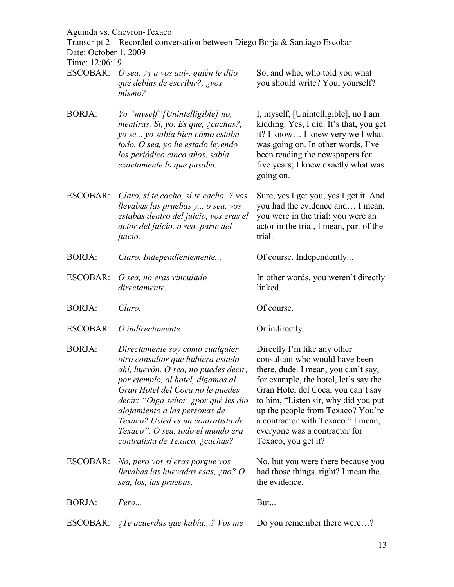Transcript 2 – Recorded conversation between Diego Borja & Santiago Escobar

Date: October 1, 2009

Time: 12:06:19

| ESCOBAR: O sea, ¿y a vos qui-, quién te dijo<br>qué debías de escribir?, ¿vos<br>mismo? | So, and who, who told you what<br>you should write? You, yourself? |
|-----------------------------------------------------------------------------------------|--------------------------------------------------------------------|
|                                                                                         |                                                                    |

- BORJA: *Yo "myself"[Unintelligible] no, mentiras. Sí, yo. Es que, ¿cachas?, yo sé... yo sabía bien cómo estaba todo. O sea, yo he estado leyendo los periódico cinco años, sabía exactamente lo que pasaba.* I, myself, [Unintelligible], no I am kidding. Yes, I did. It's that, you get it? I know… I knew very well what was going on. In other words, I've been reading the newspapers for five years; I knew exactly what was going on.
- ESCOBAR: *Claro, sí te cacho, sí te cacho. Y vos llevabas las pruebas y... o sea, vos estabas dentro del juicio, vos eras el actor del juicio, o sea, parte del juicio.* Sure, yes I get you, yes I get it. And you had the evidence and… I mean, you were in the trial; you were an actor in the trial, I mean, part of the trial.
- BORJA: *Claro. Independientemente...* Of course. Independently...
- ESCOBAR: *O sea, no eras vinculado directamente.*
- BORJA: *Claro.* Of course.
- ESCOBAR: *O indirectamente*. Or indirectly.
- BORJA: *Directamente soy como cualquier otro consultor que hubiera estado ahí, huevón. O sea, no puedes decir, por ejemplo, al hotel, digamos al Gran Hotel del Coca no le puedes decir: "Oiga señor, ¿por qué les dio alojamiento a las personas de Texaco? Usted es un contratista de Texaco". O sea, todo el mundo era contratista de Texaco, ¿cachas?*
- ESCOBAR: *No, pero vos sí eras porque vos llevabas las huevadas esas, ¿no? O sea, los, las pruebas.*

BORJA: *Pero...* But...

ESCOBAR: *¿Te acuerdas que había...? Vos me* Do you remember there were...?

Directly I'm like any other consultant who would have been there, dude. I mean, you can't say, for example, the hotel, let's say the Gran Hotel del Coca, you can't say to him, "Listen sir, why did you put up the people from Texaco? You're a contractor with Texaco." I mean, everyone was a contractor for Texaco, you get it?

In other words, you weren't directly

No, but you were there because you had those things, right? I mean the, the evidence.

linked.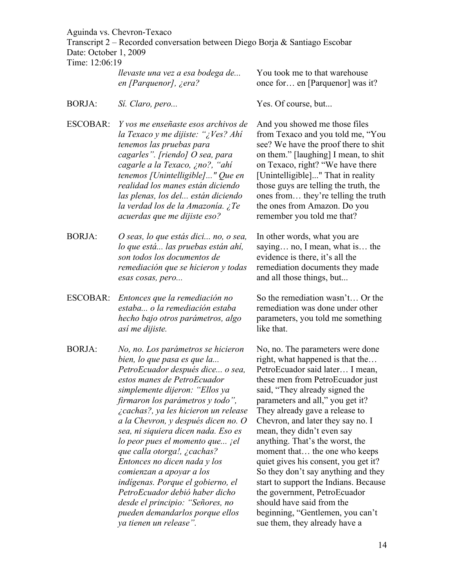Transcript 2 – Recorded conversation between Diego Borja & Santiago Escobar Date: October 1, 2009

Time: 12:06:19

| llevaste una vez a esa bodega de | You took me to that warehouse   |
|----------------------------------|---------------------------------|
| en [Parquenor], ¿era?            | once for en [Parquenor] was it? |

- BORJA: *Si. Claro, pero...* Yes. Of course, but...
- ESCOBAR: *Y vos me enseñaste esos archivos de la Texaco y me dijiste: "¿Ves? Ahí tenemos las pruebas para cagarles". [riendo] O sea, para cagarle a la Texaco, ¿no?, "ahí tenemos [Unintelligible]..." Que en realidad los manes están diciendo las plenas, los del... están diciendo la verdad los de la Amazonía. ¿Te acuerdas que me dijiste eso?*
- BORJA: *O seas, lo que estás dici... no, o sea, lo que está... las pruebas están ahí, son todos los documentos de remediación que se hicieron y todas esas cosas, pero...*
- ESCOBAR: *Entonces que la remediación no estaba... o la remediación estaba hecho bajo otros parámetros, algo así me dijiste.*
- BORJA: *No, no. Los parámetros se hicieron bien, lo que pasa es que la... PetroEcuador después dice... o sea, estos manes de PetroEcuador simplemente dijeron: "Ellos ya firmaron los parámetros y todo", ¿cachas?, ya les hicieron un release a la Chevron, y después dicen no. O sea, ni siquiera dicen nada. Eso es lo peor pues el momento que... ¡el que calla otorga!, ¿cachas? Entonces no dicen nada y los comienzan a apoyar a los indígenas. Porque el gobierno, el PetroEcuador debió haber dicho desde el principio: "Señores, no pueden demandarlos porque ellos ya tienen un release".*

And you showed me those files from Texaco and you told me, "You see? We have the proof there to shit on them." [laughing] I mean, to shit on Texaco, right? "We have there [Unintelligible]..." That in reality those guys are telling the truth, the ones from… they're telling the truth the ones from Amazon. Do you remember you told me that?

In other words, what you are saying… no, I mean, what is… the evidence is there, it's all the remediation documents they made and all those things, but...

So the remediation wasn't… Or the remediation was done under other parameters, you told me something like that.

No, no. The parameters were done right, what happened is that the… PetroEcuador said later… I mean, these men from PetroEcuador just said, "They already signed the parameters and all," you get it? They already gave a release to Chevron, and later they say no. I mean, they didn't even say anything. That's the worst, the moment that… the one who keeps quiet gives his consent, you get it? So they don't say anything and they start to support the Indians. Because the government, PetroEcuador should have said from the beginning, "Gentlemen, you can't sue them, they already have a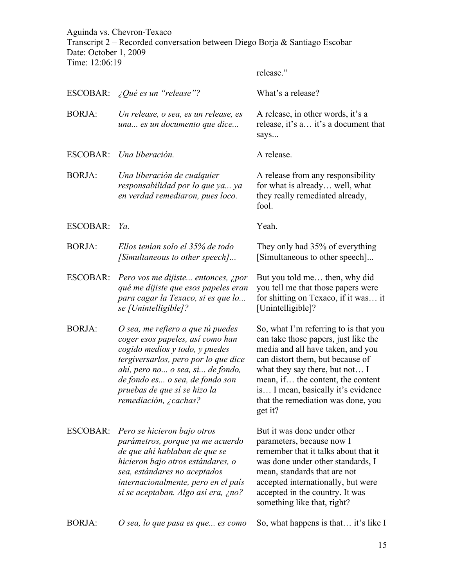Aguinda vs. Chevron-Texaco Transcript 2 – Recorded conversation between Diego Borja & Santiago Escobar Date: October 1, 2009 Time: 12:06:19

release."

ESCOBAR: *¿Qué es un "release"?* What's a release? BORJA: *Un release, o sea, es un release, es una... es un documento que dice...* A release, in other words, it's a release, it's a… it's a document that says... ESCOBAR: *Una liberación*. A release. BORJA: *Una liberación de cualquier responsabilidad por lo que ya... ya en verdad remediaron, pues loco.* A release from any responsibility for what is already… well, what they really remediated already, fool. ESCOBAR: *Ya.* Yeah. BORJA: *Ellos tenían solo el 35% de todo [Simultaneous to other speech]...* They only had 35% of everything [Simultaneous to other speech]... ESCOBAR: *Pero vos me dijiste... entonces, ¿por qué me dijiste que esos papeles eran para cagar la Texaco, si es que lo... se [Unintelligible]?* But you told me… then, why did you tell me that those papers were for shitting on Texaco, if it was… it [Unintelligible]? BORJA: *O sea, me refiero a que tú puedes coger esos papeles, así como han cogido medios y todo, y puedes tergiversarlos, pero por lo que dice ahí, pero no... o sea, si... de fondo, de fondo es... o sea, de fondo son pruebas de que sí se hizo la remediación, ¿cachas?* So, what I'm referring to is that you can take those papers, just like the media and all have taken, and you can distort them, but because of what they say there, but not… I mean, if… the content, the content is… I mean, basically it's evidence that the remediation was done, you get it? ESCOBAR: *Pero se hicieron bajo otros parámetros, porque ya me acuerdo de que ahí hablaban de que se hicieron bajo otros estándares, o sea, estándares no aceptados internacionalmente, pero en el país sí se aceptaban. Algo así era, ¿no?* But it was done under other parameters, because now I remember that it talks about that it was done under other standards, I mean, standards that are not accepted internationally, but were accepted in the country. It was something like that, right?

BORJA: *O sea, lo que pasa es que... es como* So, what happens is that… it's like I